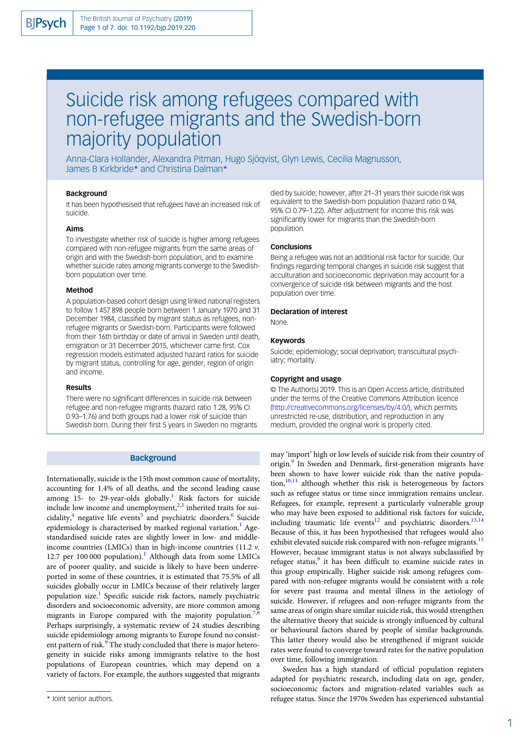# Suicide risk among refugees compared with non-refugee migrants and the Swedish-born majority population

Anna-Clara Hollander, Alexandra Pitman, Hugo Sjöqvist, Glyn Lewis, Cecilia Magnusson, James B Kirkbride\* and Christina Dalman\*

#### Background

It has been hypothesised that refugees have an increased risk of suicide.

#### Aims

To investigate whether risk of suicide is higher among refugees compared with non-refugee migrants from the same areas of origin and with the Swedish-born population, and to examine whether suicide rates among migrants converge to the Swedishborn population over time.

#### Method

A population-based cohort design using linked national registers to follow 1 457 898 people born between 1 January 1970 and 31 December 1984, classified by migrant status as refugees, nonrefugee migrants or Swedish-born. Participants were followed from their 16th birthday or date of arrival in Sweden until death, emigration or 31 December 2015, whichever came first. Cox regression models estimated adjusted hazard ratios for suicide by migrant status, controlling for age, gender, region of origin and income.

#### **Results**

There were no significant differences in suicide risk between refugee and non-refugee migrants (hazard ratio 1.28, 95% CI 0.93–1.76) and both groups had a lower risk of suicide than Swedish born. During their first 5 years in Sweden no migrants

#### **Background**

Internationally, suicide is the 15th most common cause of mortality, accounting for 1.4% of all deaths, and the second leading cause among [1](#page-6-0)5- to 29-year-olds globally.<sup>1</sup> Risk factors for suicide include low income and unemployment,<sup>[2](#page-6-0),[3](#page-6-0)</sup> inherited traits for suicidality, $4$  negative life events<sup>[5](#page-6-0)</sup> and psychiatric disorders.<sup>[6](#page-6-0)</sup> Suicide epidemiology is characterised by marked regional variation.<sup>1</sup> Agestandardised suicide rates are slightly lower in low- and middleincome countries (LMICs) than in high-income countries (11.2 v. [1](#page-6-0)2.7 per 100 000 population).<sup>1</sup> Although data from some LMICs are of poorer quality, and suicide is likely to have been underreported in some of these countries, it is estimated that 75.5% of all suicides globally occur in LMICs because of their relatively larger population size.[1](#page-6-0) Specific suicide risk factors, namely psychiatric disorders and socioeconomic adversity, are more common among migrants in Europe compared with the majority population.<sup>[7,8](#page-6-0)</sup> Perhaps surprisingly, a systematic review of 24 studies describing suicide epidemiology among migrants to Europe found no consist-ent pattern of risk.<sup>[9](#page-6-0)</sup> The study concluded that there is major heterogeneity in suicide risks among immigrants relative to the host populations of European countries, which may depend on a variety of factors. For example, the authors suggested that migrants

died by suicide; however, after 21–31 years their suicide risk was equivalent to the Swedish-born population (hazard ratio 0.94, 95% CI 0.79–1.22). After adjustment for income this risk was significantly lower for migrants than the Swedish-born population.

#### **Conclusions**

Being a refugee was not an additional risk factor for suicide. Our findings regarding temporal changes in suicide risk suggest that acculturation and socioeconomic deprivation may account for a convergence of suicide risk between migrants and the host population over time.

## Declaration of interest

# Keywords

None.

Suicide; epidemiology; social deprivation; transcultural psychiatry; mortality.

#### Copyright and usage

© The Author(s) 2019. This is an Open Access article, distributed under the terms of the Creative Commons Attribution licence [\(http://creativecommons.org/licenses/by/4.0/\)](http://creativecommons.org/licenses/by/4.0/), which permits unrestricted re-use, distribution, and reproduction in any medium, provided the original work is properly cited.

may 'import' high or low levels of suicide risk from their country of origin.<sup>[9](#page-6-0)</sup> In Sweden and Denmark, first-generation migrants have been shown to have lower suicide risk than the native population, $10,11$  $10,11$  $10,11$  although whether this risk is heterogeneous by factors such as refugee status or time since immigration remains unclear. Refugees, for example, represent a particularly vulnerable group who may have been exposed to additional risk factors for suicide, including traumatic life events $12$  and psychiatric disorders.<sup>[13,14](#page-6-0)</sup> Because of this, it has been hypothesised that refugees would also exhibit elevated suicide risk compared with non-refugee migrants.<sup>15</sup> However, because immigrant status is not always subclassified by refugee status,<sup>[9](#page-6-0)</sup> it has been difficult to examine suicide rates in this group empirically. Higher suicide risk among refugees compared with non-refugee migrants would be consistent with a role for severe past trauma and mental illness in the aetiology of suicide. However, if refugees and non-refugee migrants from the same areas of origin share similar suicide risk, this would strengthen the alternative theory that suicide is strongly influenced by cultural or behavioural factors shared by people of similar backgrounds. This latter theory would also be strengthened if migrant suicide rates were found to converge toward rates for the native population over time, following immigration.

Sweden has a high standard of official population registers adapted for psychiatric research, including data on age, gender, socioeconomic factors and migration-related variables such as \* Joint senior authors. refugee status. Since the 1970s Sweden has experienced substantial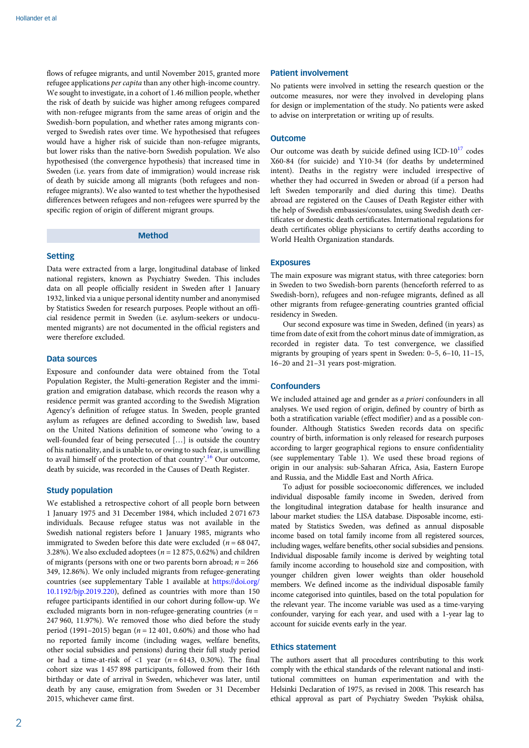flows of refugee migrants, and until November 2015, granted more refugee applications per capita than any other high-income country. We sought to investigate, in a cohort of 1.46 million people, whether the risk of death by suicide was higher among refugees compared with non-refugee migrants from the same areas of origin and the Swedish-born population, and whether rates among migrants converged to Swedish rates over time. We hypothesised that refugees would have a higher risk of suicide than non-refugee migrants, but lower risks than the native-born Swedish population. We also hypothesised (the convergence hypothesis) that increased time in Sweden (i.e. years from date of immigration) would increase risk of death by suicide among all migrants (both refugees and nonrefugee migrants). We also wanted to test whether the hypothesised differences between refugees and non-refugees were spurred by the specific region of origin of different migrant groups.

# Method

### Setting

Data were extracted from a large, longitudinal database of linked national registers, known as Psychiatry Sweden. This includes data on all people officially resident in Sweden after 1 January 1932, linked via a unique personal identity number and anonymised by Statistics Sweden for research purposes. People without an official residence permit in Sweden (i.e. asylum-seekers or undocumented migrants) are not documented in the official registers and were therefore excluded.

#### Data sources

Exposure and confounder data were obtained from the Total Population Register, the Multi-generation Register and the immigration and emigration database, which records the reason why a residence permit was granted according to the Swedish Migration Agency's definition of refugee status. In Sweden, people granted asylum as refugees are defined according to Swedish law, based on the United Nations definition of someone who 'owing to a well-founded fear of being persecuted […] is outside the country of his nationality, and is unable to, or owing to such fear, is unwilling to avail himself of the protection of that country'.<sup>[16](#page-6-0)</sup> Our outcome, death by suicide, was recorded in the Causes of Death Register.

# Study population

We established a retrospective cohort of all people born between 1 January 1975 and 31 December 1984, which included 2 071 673 individuals. Because refugee status was not available in the Swedish national registers before 1 January 1985, migrants who immigrated to Sweden before this date were excluded ( $n = 68047$ , 3.28%). We also excluded adoptees ( $n = 12875, 0.62%$ ) and children of migrants (persons with one or two parents born abroad;  $n = 266$ 349, 12.86%). We only included migrants from refugee-generating countries (see supplementary Table 1 available at [https://doi.org/](https://doi.org/10.1192/bjp.2019.220) [10.1192/bjp.2019.220\)](https://doi.org/10.1192/bjp.2019.220), defined as countries with more than 150 refugee participants identified in our cohort during follow-up. We excluded migrants born in non-refugee-generating countries ( $n =$ 247 960, 11.97%). We removed those who died before the study period (1991–2015) began ( $n = 12401$ , 0.60%) and those who had no reported family income (including wages, welfare benefits, other social subsidies and pensions) during their full study period or had a time-at-risk of  $\langle 1 \rangle$  year (n = 6143, 0.30%). The final cohort size was 1 457 898 participants, followed from their 16th birthday or date of arrival in Sweden, whichever was later, until death by any cause, emigration from Sweden or 31 December 2015, whichever came first.

# Patient involvement

No patients were involved in setting the research question or the outcome measures, nor were they involved in developing plans for design or implementation of the study. No patients were asked to advise on interpretation or writing up of results.

#### **Outcome**

Our outcome was death by suicide defined using  $ICD-10^{17}$  $ICD-10^{17}$  $ICD-10^{17}$  codes X60-84 (for suicide) and Y10-34 (for deaths by undetermined intent). Deaths in the registry were included irrespective of whether they had occurred in Sweden or abroad (if a person had left Sweden temporarily and died during this time). Deaths abroad are registered on the Causes of Death Register either with the help of Swedish embassies/consulates, using Swedish death certificates or domestic death certificates. International regulations for death certificates oblige physicians to certify deaths according to World Health Organization standards.

#### **Exposures**

The main exposure was migrant status, with three categories: born in Sweden to two Swedish-born parents (henceforth referred to as Swedish-born), refugees and non-refugee migrants, defined as all other migrants from refugee-generating countries granted official residency in Sweden.

Our second exposure was time in Sweden, defined (in years) as time from date of exit from the cohort minus date of immigration, as recorded in register data. To test convergence, we classified migrants by grouping of years spent in Sweden: 0–5, 6–10, 11–15, 16–20 and 21–31 years post-migration.

#### **Confounders**

We included attained age and gender as a priori confounders in all analyses. We used region of origin, defined by country of birth as both a stratification variable (effect modifier) and as a possible confounder. Although Statistics Sweden records data on specific country of birth, information is only released for research purposes according to larger geographical regions to ensure confidentiality (see supplementary Table 1). We used these broad regions of origin in our analysis: sub-Saharan Africa, Asia, Eastern Europe and Russia, and the Middle East and North Africa.

To adjust for possible socioeconomic differences, we included individual disposable family income in Sweden, derived from the longitudinal integration database for health insurance and labour market studies: the LISA database. Disposable income, estimated by Statistics Sweden, was defined as annual disposable income based on total family income from all registered sources, including wages, welfare benefits, other social subsidies and pensions. Individual disposable family income is derived by weighting total family income according to household size and composition, with younger children given lower weights than older household members. We defined income as the individual disposable family income categorised into quintiles, based on the total population for the relevant year. The income variable was used as a time-varying confounder, varying for each year, and used with a 1-year lag to account for suicide events early in the year.

#### Ethics statement

The authors assert that all procedures contributing to this work comply with the ethical standards of the relevant national and institutional committees on human experimentation and with the Helsinki Declaration of 1975, as revised in 2008. This research has ethical approval as part of Psychiatry Sweden 'Psykisk ohälsa,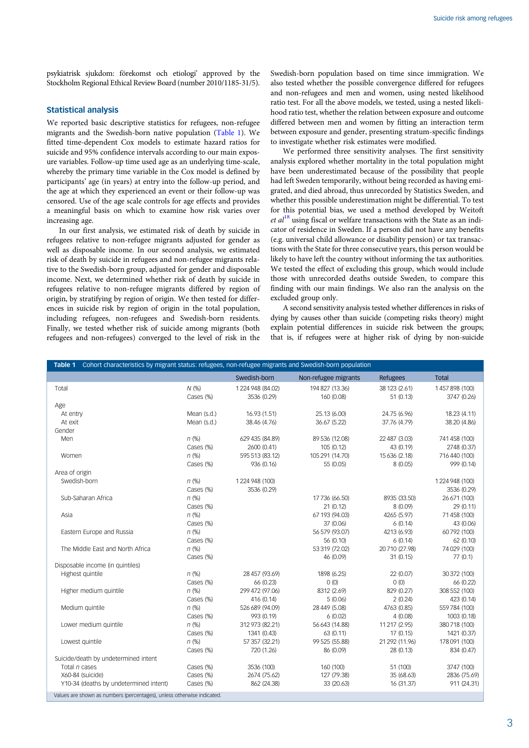<span id="page-2-0"></span>psykiatrisk sjukdom: förekomst och etiologi' approved by the Stockholm Regional Ethical Review Board (number 2010/1185-31/5).

#### Statistical analysis

We reported basic descriptive statistics for refugees, non-refugee migrants and the Swedish-born native population (Table 1). We fitted time-dependent Cox models to estimate hazard ratios for suicide and 95% confidence intervals according to our main exposure variables. Follow-up time used age as an underlying time-scale, whereby the primary time variable in the Cox model is defined by participants' age (in years) at entry into the follow-up period, and the age at which they experienced an event or their follow-up was censored. Use of the age scale controls for age effects and provides a meaningful basis on which to examine how risk varies over increasing age.

In our first analysis, we estimated risk of death by suicide in refugees relative to non-refugee migrants adjusted for gender as well as disposable income. In our second analysis, we estimated risk of death by suicide in refugees and non-refugee migrants relative to the Swedish-born group, adjusted for gender and disposable income. Next, we determined whether risk of death by suicide in refugees relative to non-refugee migrants differed by region of origin, by stratifying by region of origin. We then tested for differences in suicide risk by region of origin in the total population, including refugees, non-refugees and Swedish-born residents. Finally, we tested whether risk of suicide among migrants (both refugees and non-refugees) converged to the level of risk in the Swedish-born population based on time since immigration. We also tested whether the possible convergence differed for refugees and non-refugees and men and women, using nested likelihood ratio test. For all the above models, we tested, using a nested likelihood ratio test, whether the relation between exposure and outcome differed between men and women by fitting an interaction term between exposure and gender, presenting stratum-specific findings to investigate whether risk estimates were modified.

We performed three sensitivity analyses. The first sensitivity analysis explored whether mortality in the total population might have been underestimated because of the possibility that people had left Sweden temporarily, without being recorded as having emigrated, and died abroad, thus unrecorded by Statistics Sweden, and whether this possible underestimation might be differential. To test for this potential bias, we used a method developed by Weitoft et  $al^{18}$  $al^{18}$  $al^{18}$  using fiscal or welfare transactions with the State as an indicator of residence in Sweden. If a person did not have any benefits (e.g. universal child allowance or disability pension) or tax transactions with the State for three consecutive years, this person would be likely to have left the country without informing the tax authorities. We tested the effect of excluding this group, which would include those with unrecorded deaths outside Sweden, to compare this finding with our main findings. We also ran the analysis on the excluded group only.

A second sensitivity analysis tested whether differences in risks of dying by causes other than suicide (competing risks theory) might explain potential differences in suicide risk between the groups; that is, if refugees were at higher risk of dying by non-suicide

| Table 1 Cohort characteristics by migrant status: refugees, non-refugee migrants and Swedish-born population |             |                   |                      |                |                |
|--------------------------------------------------------------------------------------------------------------|-------------|-------------------|----------------------|----------------|----------------|
|                                                                                                              |             | Swedish-born      | Non-refugee migrants | Refugees       | <b>Total</b>   |
| Total                                                                                                        | N(%)        | 1 224 948 (84.02) | 194 827 (13.36)      | 38 123 (2.61)  | 1457898 (100)  |
|                                                                                                              | Cases (%)   | 3536 (0.29)       | 160 (0.08)           | 51(0.13)       | 3747 (0.26)    |
| Age                                                                                                          |             |                   |                      |                |                |
| At entry                                                                                                     | Mean (s.d.) | 16.93 (1.51)      | 25.13 (6.00)         | 24.75 (6.96)   | 18.23 (4.11)   |
| At exit                                                                                                      | Mean (s.d.) | 38.46 (4.76)      | 36.67 (5.22)         | 37.76 (4.79)   | 38.20 (4.86)   |
| Gender                                                                                                       |             |                   |                      |                |                |
| Men                                                                                                          | $n$ (%)     | 629 435 (84.89)   | 89 536 (12.08)       | 22 487 (3.03)  | 741 458 (100)  |
|                                                                                                              | Cases (%)   | 2600 (0.41)       | 105 (0.12)           | 43 (0.19)      | 2748 (0.37)    |
| Women                                                                                                        | $n$ (%)     | 595 513 (83.12)   | 105 291 (14.70)      | 15 636 (2.18)  | 716 440 (100)  |
|                                                                                                              | Cases (%)   | 936 (0.16)        | 55 (0.05)            | 8 (0.05)       | 999 (0.14)     |
| Area of origin                                                                                               |             |                   |                      |                |                |
| Swedish-born                                                                                                 | $n$ (%)     | 1 224 948 (100)   |                      |                | 1224 948 (100) |
|                                                                                                              | Cases (%)   | 3536 (0.29)       |                      |                | 3536 (0.29)    |
| Sub-Saharan Africa                                                                                           | $n$ (%)     |                   | 17 736 (66.50)       | 8935 (33.50)   | 26 671 (100)   |
|                                                                                                              | Cases (%)   |                   | 21(0.12)             | 8 (0.09)       | 29 (0.11)      |
| Asia                                                                                                         | $n$ (%)     |                   | 67 193 (94.03)       | 4265 (5.97)    | 71 458 (100)   |
|                                                                                                              | Cases (%)   |                   | 37 (0.06)            | 6(0.14)        | 43 (0.06)      |
| Eastern Europe and Russia                                                                                    | $n$ (%)     |                   | 56 579 (93.07)       | 4213 (6.93)    | 60 792 (100)   |
|                                                                                                              | Cases (%)   |                   | 56 (0.10)            | 6(0.14)        | 62 (0.10)      |
| The Middle East and North Africa                                                                             | $n$ (%)     |                   | 53 319 (72.02)       | 20 710 (27.98) | 74 029 (100)   |
|                                                                                                              | Cases (%)   |                   | 46 (0.09)            | 31 (0.15)      | 77(0.1)        |
| Disposable income (in quintiles)                                                                             |             |                   |                      |                |                |
| Highest quintile                                                                                             | $n$ (%)     | 28 457 (93.69)    | 1898 (6.25)          | 22 (0.07)      | 30 372 (100)   |
|                                                                                                              | Cases (%)   | 66 (0.23)         | 0(0)                 | 0(0)           | 66 (0.22)      |
| Higher medium quintile                                                                                       | $n$ (%)     | 299 472 (97.06)   | 8312 (2.69)          | 829 (0.27)     | 308 552 (100)  |
|                                                                                                              | Cases (%)   | 416 (0.14)        | 5(0.06)              | 2(0.24)        | 423 (0.14)     |
| Medium quintile                                                                                              | $n$ (%)     | 526 689 (94.09)   | 28 449 (5.08)        | 4763 (0.85)    | 559 784 (100)  |
|                                                                                                              | Cases (%)   | 993 (0.19)        | 6(0.02)              | 4(0.08)        | 1003 (0.18)    |
| Lower medium quintile                                                                                        | $n$ (%)     | 312 973 (82.21)   | 56 643 (14.88)       | 11 217 (2.95)  | 380 718 (100)  |
|                                                                                                              | Cases (%)   | 1341 (0.43)       | 63 (0.11)            | 17 (0.15)      | 1421 (0.37)    |
| Lowest quintile                                                                                              | $n$ (%)     | 57 357 (32.21)    | 99 525 (55.88)       | 21 292 (11.96) | 178 091 (100)  |
|                                                                                                              | Cases (%)   | 720 (1.26)        | 86 (0.09)            | 28 (0.13)      | 834 (0.47)     |
| Suicide/death by undetermined intent                                                                         |             |                   |                      |                |                |
| Total $n$ cases                                                                                              | Cases (%)   | 3536 (100)        | 160 (100)            | 51 (100)       | 3747 (100)     |
| X60-84 (suicide)                                                                                             | Cases (%)   | 2674 (75.62)      | 127 (79.38)          | 35 (68.63)     | 2836 (75.69)   |
| Y10-34 (deaths by undetermined intent)                                                                       | Cases (%)   | 862 (24.38)       | 33 (20.63)           | 16 (31.37)     | 911 (24.31)    |
| Values are shown as numbers (percentages), unless otherwise indicated.                                       |             |                   |                      |                |                |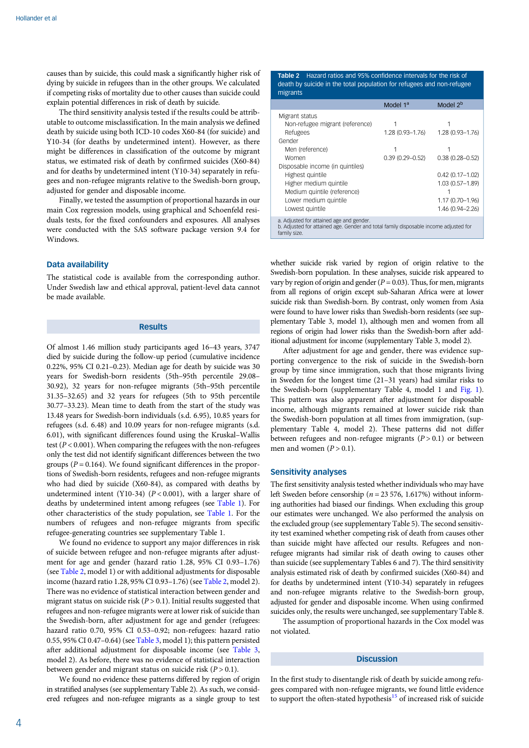causes than by suicide, this could mask a significantly higher risk of dying by suicide in refugees than in the other groups. We calculated if competing risks of mortality due to other causes than suicide could explain potential differences in risk of death by suicide.

The third sensitivity analysis tested if the results could be attributable to outcome misclassification. In the main analysis we defined death by suicide using both ICD-10 codes X60-84 (for suicide) and Y10-34 (for deaths by undetermined intent). However, as there might be differences in classification of the outcome by migrant status, we estimated risk of death by confirmed suicides (X60-84) and for deaths by undetermined intent (Y10-34) separately in refugees and non-refugee migrants relative to the Swedish-born group, adjusted for gender and disposable income.

Finally, we tested the assumption of proportional hazards in our main Cox regression models, using graphical and Schoenfeld residuals tests, for the fixed confounders and exposures. All analyses were conducted with the SAS software package version 9.4 for Windows.

#### Data availability

The statistical code is available from the corresponding author. Under Swedish law and ethical approval, patient-level data cannot be made available.

# **Results**

Of almost 1.46 million study participants aged 16–43 years, 3747 died by suicide during the follow-up period (cumulative incidence 0.22%, 95% CI 0.21–0.23). Median age for death by suicide was 30 years for Swedish-born residents (5th–95th percentile 29.08– 30.92), 32 years for non-refugee migrants (5th–95th percentile 31.35–32.65) and 32 years for refugees (5th to 95th percentile 30.77–33.23). Mean time to death from the start of the study was 13.48 years for Swedish-born individuals (s.d. 6.95), 10.85 years for refugees (s.d. 6.48) and 10.09 years for non-refugee migrants (s.d. 6.01), with significant differences found using the Kruskal–Wallis test ( $P < 0.001$ ). When comparing the refugees with the non-refugees only the test did not identify significant differences between the two groups ( $P = 0.164$ ). We found significant differences in the proportions of Swedish-born residents, refugees and non-refugee migrants who had died by suicide (X60-84), as compared with deaths by undetermined intent (Y10-34) ( $P < 0.001$ ), with a larger share of deaths by undetermined intent among refugees (see [Table 1\)](#page-2-0). For other characteristics of the study population, see [Table 1.](#page-2-0) For the numbers of refugees and non-refugee migrants from specific refugee-generating countries see supplementary Table 1.

We found no evidence to support any major differences in risk of suicide between refugee and non-refugee migrants after adjustment for age and gender (hazard ratio 1.28, 95% CI 0.93–1.76) (see Table 2, model 1) or with additional adjustments for disposable income (hazard ratio 1.28, 95% CI 0.93–1.76) (see Table 2, model 2). There was no evidence of statistical interaction between gender and migrant status on suicide risk ( $P > 0.1$ ). Initial results suggested that refugees and non-refugee migrants were at lower risk of suicide than the Swedish-born, after adjustment for age and gender (refugees: hazard ratio 0.70, 95% CI 0.53–0.92; non-refugees: hazard ratio 0.55, 95% CI 0.47–0.64) (see [Table 3](#page-4-0), model 1); this pattern persisted after additional adjustment for disposable income (see [Table 3](#page-4-0), model 2). As before, there was no evidence of statistical interaction between gender and migrant status on suicide risk  $(P > 0.1)$ .

We found no evidence these patterns differed by region of origin in stratified analyses (see supplementary Table 2). As such, we considered refugees and non-refugee migrants as a single group to test

Table 2 Hazard ratios and 95% confidence intervals for the risk of death by suicide in the total population for refugees and non-refugee migrant

|                                                                                                                                                                                                                                                                  | Model 1 <sup>a</sup>                    | Model 2 <sup>b</sup>                                                                                                          |
|------------------------------------------------------------------------------------------------------------------------------------------------------------------------------------------------------------------------------------------------------------------|-----------------------------------------|-------------------------------------------------------------------------------------------------------------------------------|
| Migrant status<br>Non-refugee migrant (reference)<br>Refugees<br>Gender<br>Men (reference)<br>Women<br>Disposable income (in quintiles)<br>Highest quintile<br>Higher medium quintile<br>Medium quintile (reference)<br>Lower medium quintile<br>Lowest quintile | 1.28 (0.93-1.76)<br>$0.39(0.29 - 0.52)$ | 1.28 (0.93-1.76)<br>$0.38(0.28 - 0.52)$<br>$0.42(0.17 - 1.02)$<br>1.03 (0.57-1.89)<br>$1.17(0.70 - 1.96)$<br>1.46 (0.94-2.26) |
| a. Adjusted for attained age and gender.                                                                                                                                                                                                                         |                                         |                                                                                                                               |

a. Adjusted for attained age and gender. b. Adjusted for attained age. Gender and total family disposable income adjusted for family size.

whether suicide risk varied by region of origin relative to the Swedish-born population. In these analyses, suicide risk appeared to vary by region of origin and gender ( $P = 0.03$ ). Thus, for men, migrants from all regions of origin except sub-Saharan Africa were at lower suicide risk than Swedish-born. By contrast, only women from Asia were found to have lower risks than Swedish-born residents (see supplementary Table 3, model 1), although men and women from all regions of origin had lower risks than the Swedish-born after additional adjustment for income (supplementary Table 3, model 2).

After adjustment for age and gender, there was evidence supporting convergence to the risk of suicide in the Swedish-born group by time since immigration, such that those migrants living in Sweden for the longest time (21–31 years) had similar risks to the Swedish-born (supplementary Table 4, model 1 and [Fig. 1](#page-4-0)). This pattern was also apparent after adjustment for disposable income, although migrants remained at lower suicide risk than the Swedish-born population at all times from immigration, (supplementary Table 4, model 2). These patterns did not differ between refugees and non-refugee migrants  $(P > 0.1)$  or between men and women  $(P > 0.1)$ .

#### Sensitivity analyses

The first sensitivity analysis tested whether individuals who may have left Sweden before censorship ( $n = 23 576$ , 1.617%) without informing authorities had biased our findings. When excluding this group our estimates were unchanged. We also performed the analysis on the excluded group (see supplementary Table 5). The second sensitivity test examined whether competing risk of death from causes other than suicide might have affected our results. Refugees and nonrefugee migrants had similar risk of death owing to causes other than suicide (see supplementary Tables 6 and 7). The third sensitivity analysis estimated risk of death by confirmed suicides (X60-84) and for deaths by undetermined intent (Y10-34) separately in refugees and non-refugee migrants relative to the Swedish-born group, adjusted for gender and disposable income. When using confirmed suicides only, the results were unchanged, see supplementary Table 8.

The assumption of proportional hazards in the Cox model was not violated.

### **Discussion**

In the first study to disentangle risk of death by suicide among refugees compared with non-refugee migrants, we found little evidence to support the often-stated hypothesis $15$  of increased risk of suicide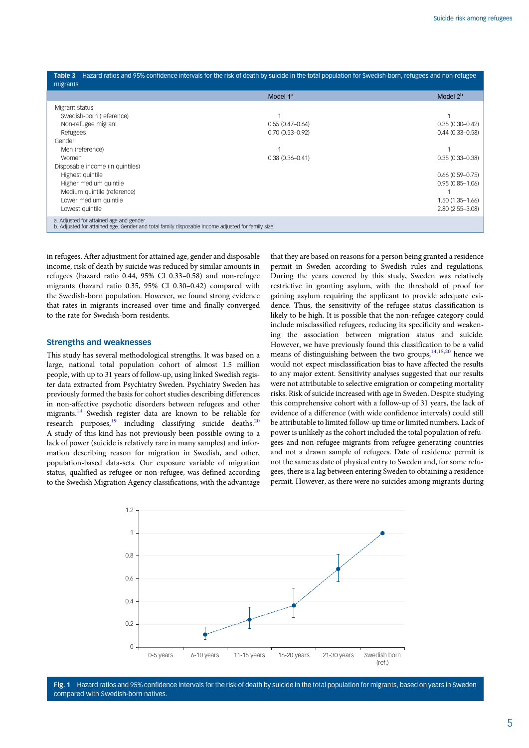<span id="page-4-0"></span>

| Table 3<br>migrants                                                                                                                           | Hazard ratios and 95% confidence intervals for the risk of death by suicide in the total population for Swedish-born, refugees and non-refugee |                      |
|-----------------------------------------------------------------------------------------------------------------------------------------------|------------------------------------------------------------------------------------------------------------------------------------------------|----------------------|
|                                                                                                                                               | Model 1 <sup>a</sup>                                                                                                                           | Model 2 <sup>b</sup> |
| Migrant status                                                                                                                                |                                                                                                                                                |                      |
| Swedish-born (reference)                                                                                                                      |                                                                                                                                                |                      |
| Non-refugee migrant                                                                                                                           | $0.55(0.47-0.64)$                                                                                                                              | $0.35(0.30 - 0.42)$  |
| Refugees                                                                                                                                      | $0.70(0.53 - 0.92)$                                                                                                                            | $0.44(0.33 - 0.58)$  |
| Gender                                                                                                                                        |                                                                                                                                                |                      |
| Men (reference)                                                                                                                               |                                                                                                                                                |                      |
| Women                                                                                                                                         | $0.38(0.36 - 0.41)$                                                                                                                            | $0.35(0.33 - 0.38)$  |
| Disposable income (in quintiles)                                                                                                              |                                                                                                                                                |                      |
| Highest quintile                                                                                                                              |                                                                                                                                                | $0.66$ (0.59-0.75)   |
| Higher medium quintile                                                                                                                        |                                                                                                                                                | $0.95(0.85 - 1.06)$  |
| Medium quintile (reference)                                                                                                                   |                                                                                                                                                |                      |
| Lower medium quintile                                                                                                                         |                                                                                                                                                | $1.50(1.35 - 1.66)$  |
| Lowest quintile                                                                                                                               |                                                                                                                                                | 2.80 (2.55-3.08)     |
| a. Adjusted for attained age and gender.<br>b. Adjusted for attained age. Gender and total family disposable income adjusted for family size. |                                                                                                                                                |                      |

in refugees. After adjustment for attained age, gender and disposable income, risk of death by suicide was reduced by similar amounts in refugees (hazard ratio 0.44, 95% CI 0.33–0.58) and non-refugee migrants (hazard ratio 0.35, 95% CI 0.30–0.42) compared with the Swedish-born population. However, we found strong evidence that rates in migrants increased over time and finally converged to the rate for Swedish-born residents.

#### Strengths and weaknesses

This study has several methodological strengths. It was based on a large, national total population cohort of almost 1.5 million people, with up to 31 years of follow-up, using linked Swedish register data extracted from Psychiatry Sweden. Psychiatry Sweden has previously formed the basis for cohort studies describing differences in non-affective psychotic disorders between refugees and other migrants[.14](#page-6-0) Swedish register data are known to be reliable for research purposes,  $\frac{19}{12}$  $\frac{19}{12}$  $\frac{19}{12}$  including classifying suicide deaths.<sup>[20](#page-6-0)</sup> A study of this kind has not previously been possible owing to a lack of power (suicide is relatively rare in many samples) and information describing reason for migration in Swedish, and other, population-based data-sets. Our exposure variable of migration status, qualified as refugee or non-refugee, was defined according to the Swedish Migration Agency classifications, with the advantage

that they are based on reasons for a person being granted a residence permit in Sweden according to Swedish rules and regulations. During the years covered by this study, Sweden was relatively restrictive in granting asylum, with the threshold of proof for gaining asylum requiring the applicant to provide adequate evidence. Thus, the sensitivity of the refugee status classification is likely to be high. It is possible that the non-refugee category could include misclassified refugees, reducing its specificity and weakening the association between migration status and suicide. However, we have previously found this classification to be a valid means of distinguishing between the two groups, $14,15,20$  $14,15,20$  $14,15,20$  $14,15,20$  hence we would not expect misclassification bias to have affected the results to any major extent. Sensitivity analyses suggested that our results were not attributable to selective emigration or competing mortality risks. Risk of suicide increased with age in Sweden. Despite studying this comprehensive cohort with a follow-up of 31 years, the lack of evidence of a difference (with wide confidence intervals) could still be attributable to limited follow-up time or limited numbers. Lack of power is unlikely as the cohort included the total population of refugees and non-refugee migrants from refugee generating countries and not a drawn sample of refugees. Date of residence permit is not the same as date of physical entry to Sweden and, for some refugees, there is a lag between entering Sweden to obtaining a residence permit. However, as there were no suicides among migrants during



Fig. 1 Hazard ratios and 95% confidence intervals for the risk of death by suicide in the total population for migrants, based on years in Sweden compared with Swedish-born natives.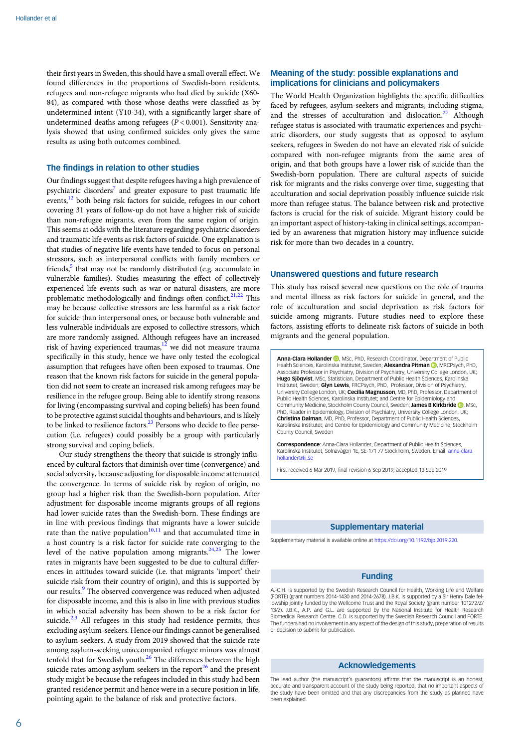their first years in Sweden, this should have a small overall effect. We found differences in the proportions of Swedish-born residents, refugees and non-refugee migrants who had died by suicide (X60- 84), as compared with those whose deaths were classified as by undetermined intent (Y10-34), with a significantly larger share of undetermined deaths among refugees  $(P < 0.001)$ . Sensitivity analysis showed that using confirmed suicides only gives the same results as using both outcomes combined.

#### The findings in relation to other studies

Our findings suggest that despite refugees having a high prevalence of psychiatric disorders<sup>7</sup> and greater exposure to past traumatic life events,<sup>12</sup> both being risk factors for suicide, refugees in our cohort covering 31 years of follow-up do not have a higher risk of suicide than non-refugee migrants, even from the same region of origin. This seems at odds with the literature regarding psychiatric disorders and traumatic life events as risk factors of suicide. One explanation is that studies of negative life events have tended to focus on personal stressors, such as interpersonal conflicts with family members or friends, $5$  that may not be randomly distributed (e.g. accumulate in vulnerable families). Studies measuring the effect of collectively experienced life events such as war or natural disasters, are more problematic methodologically and findings often conflict. $21,22$  This may be because collective stressors are less harmful as a risk factor for suicide than interpersonal ones, or because both vulnerable and less vulnerable individuals are exposed to collective stressors, which are more randomly assigned. Although refugees have an increased risk of having experienced traumas, $12$  we did not measure trauma specifically in this study, hence we have only tested the ecological assumption that refugees have often been exposed to traumas. One reason that the known risk factors for suicide in the general population did not seem to create an increased risk among refugees may be resilience in the refugee group. Being able to identify strong reasons for living (encompassing survival and coping beliefs) has been found to be protective against suicidal thoughts and behaviours, and is likely to be linked to resilience factors.<sup>23</sup> Persons who decide to flee persecution (i.e. refugees) could possibly be a group with particularly strong survival and coping beliefs.

Our study strengthens the theory that suicide is strongly influenced by cultural factors that diminish over time (convergence) and social adversity, because adjusting for disposable income attenuated the convergence. In terms of suicide risk by region of origin, no group had a higher risk than the Swedish-born population. After adjustment for disposable income migrants groups of all regions had lower suicide rates than the Swedish-born. These findings are in line with previous findings that migrants have a lower suicide rate than the native population<sup>[10](#page-6-0),[11](#page-6-0)</sup> and that accumulated time in a host country is a risk factor for suicide rate converging to the level of the native population among migrants. $24,25$  $24,25$  $24,25$  The lower rates in migrants have been suggested to be due to cultural differences in attitudes toward suicide (i.e. that migrants 'import' their suicide risk from their country of origin), and this is supported by our results.<sup>[9](#page-6-0)</sup> The observed convergence was reduced when adjusted for disposable income, and this is also in line with previous studies in which social adversity has been shown to be a risk factor for suicide.<sup>[2,3](#page-6-0)</sup> All refugees in this study had residence permits, thus excluding asylum-seekers. Hence our findings cannot be generalised to asylum-seekers. A study from 2019 showed that the suicide rate among asylum-seeking unaccompanied refugee minors was almost tenfold that for Swedish youth.<sup>[26](#page-6-0)</sup> The differences between the high suicide rates among asylum seekers in the report $^{26}$  $^{26}$  $^{26}$  and the present study might be because the refugees included in this study had been granted residence permit and hence were in a secure position in life, pointing again to the balance of risk and protective factors.

# Meaning of the study: possible explanations and implications for clinicians and policymakers

The World Health Organization highlights the specific difficulties faced by refugees, asylum-seekers and migrants, including stigma, and the stresses of acculturation and dislocation.<sup>[27](#page-6-0)</sup> Although refugee status is associated with traumatic experiences and psychiatric disorders, our study suggests that as opposed to asylum seekers, refugees in Sweden do not have an elevated risk of suicide compared with non-refugee migrants from the same area of origin, and that both groups have a lower risk of suicide than the Swedish-born population. There are cultural aspects of suicide risk for migrants and the risks converge over time, suggesting that acculturation and social deprivation possibly influence suicide risk more than refugee status. The balance between risk and protective factors is crucial for the risk of suicide. Migrant history could be an important aspect of history-taking in clinical settings, accompanied by an awareness that migration history may influence suicide risk for more than two decades in a country.

#### Unanswered questions and future research

This study has raised several new questions on the role of trauma and mental illness as risk factors for suicide in general, and the role of acculturation and social deprivation as risk factors for suicide among migrants. Future studies need to explore these factors, assisting efforts to delineate risk factors of suicide in both migrants and the general population.

Anna-Clara Hollander <sup>(D</sup>[,](https://orcid.org/0000-0002-1246-5804) MSc, PhD, Research Coordinator, Department of Public Health Sciences[,](https://orcid.org/0000-0002-9742-1359) Karolinska Institutet, Sweden; **Alexandra Pitman (D**, MRCPsych, PhD,<br>Associate Professor in Psychiatry, Division of Psychiatry, University College London, UK<sub>i</sub> Hugo Sjöqvist, MSc, Statistician, Department of Public Health Sciences, Karolinska Institutet, Sweden; Glyn Lewis, FRCPsych, PhD, Professor, Division of Psychiatry, University College London, UK; Cecilia Magnusson, MD, PhD, Professor, Department of Public Health Sciences, Karolinska Institutet; and Centre for Epidemiology and Community Medicine[,](https://orcid.org/0000-0003-3401-0824) Stockholm County Council, Sweden; James B Kirkbride D, MSc, PhD, Reader in Epidemiology, Division of Psychiatry, University College London, UK; Christina Dalman, MD, PhD, Professor, Department of Public Health Sciences, Karolinska Institutet; and Centre for Epidemiology and Community Medicine, Stockholm County Council, Sweden

Correspondence: Anna-Clara Hollander, Department of Public Health Sciences, Karolinska Institutet, Solnavägen 1E, SE-171 77 Stockholm, Sweden. Email: [anna-clara.](mailto:anna-clara.hollander@ki.se) [hollander@ki.se](mailto:anna-clara.hollander@ki.se)

First received 6 Mar 2019, final revision 6 Sep 2019, accepted 13 Sep 2019

### Supplementary material

Supplementary material is available online at <https://doi.org/10.1192/bjp.2019.220>.

#### Funding

A.-C.H. is supported by the Swedish Research Council for Health, Working Life and Welfare (FORTE) (grant numbers 2014-1430 and 2014-2678). J.B.K. is supported by a Sir Henry Dale fellowship jointly funded by the Wellcome Trust and the Royal Society (grant number 101272/Z/ 13/Z). J.B.K., A.P. and G.L. are supported by the National Institute for Health Research Biomedical Research Centre. C.D. is supported by the Swedish Research Council and FORTE. The funders had no involvement in any aspect of the design of this study, preparation of results or decision to submit for publication.

# Acknowledgements

The lead author (the manuscript's guarantors) affirms that the manuscript is an honest accurate and transparent account of the study being reported, that no important aspects of the study have been omitted and that any discrepancies from the study as planned have been explained.